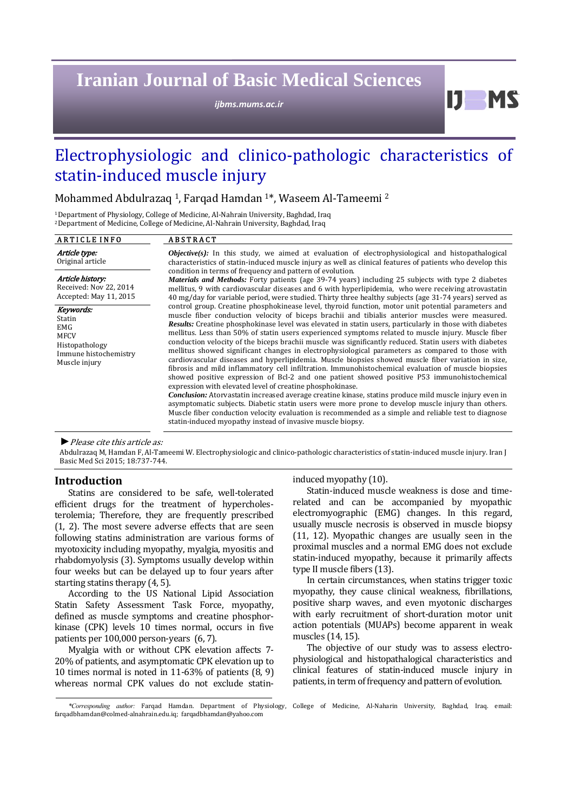# **Iranian Journal of Basic Medical Sciences**

*ijbms.mums.ac.ir*

# Electrophysiologic and clinico-pathologic characteristics of statin-induced muscle injury

Mohammed Abdulrazaq<sup>1</sup>, Farqad Hamdan<sup>1\*</sup>, Waseem Al-Tameemi<sup>2</sup>

<sup>1</sup> Department of Physiology, College of Medicine, Al-Nahrain University, Baghdad, Iraq <sup>2</sup> Department of Medicine, College of Medicine, Al-Nahrain University, Baghdad, Iraq

#### ARTICLE INFO ABSTRACT Article type: Original article *Objective(s):* In this study, we aimed at evaluation of electrophysiological and histopathalogical characteristics of statin-induced muscle injury as well as clinical features of patients who develop this condition in terms of frequency and pattern of evolution. *Materials and Methods:* Forty patients (age 39-74 years) including 25 subjects with type 2 diabetes mellitus, 9 with cardiovascular diseases and 6 with hyperlipidemia, who were receiving atrovastatin 40 mg/day for variable period, were studied. Thirty three healthy subjects (age 31-74 years) served as control group. Creatine phosphokinease level, thyroid function, motor unit potential parameters and muscle fiber conduction velocity of biceps brachii and tibialis anterior muscles were measured. *Results:* Creatine phosphokinase level was elevated in statin users, particularly in those with diabetes mellitus. Less than 50% of statin users experienced symptoms related to muscle injury. Muscle fiber conduction velocity of the biceps brachii muscle was significantly reduced. Statin users with diabetes mellitus showed significant changes in electrophysiological parameters as compared to those with cardiovascular diseases and hyperlipidemia. Muscle biopsies showed muscle fiber variation in size, fibrosis and mild inflammatory cell infiltration. Immunohistochemical evaluation of muscle biopsies showed positive expression of Bcl-2 and one patient showed positive P53 immunohistochemical expression with elevated level of creatine phosphokinase. *Conclusion:* Atorvastatin increased average creatine kinase, statins produce mild muscle injury even in asymptomatic subjects. Diabetic statin users were more prone to develop muscle injury than others. Muscle fiber conduction velocity evaluation is recommended as a simple and reliable test to diagnose statin-induced myopathy instead of invasive muscle biopsy. Article history: Received: Nov 22, 2014 Accepted: May 11, 2015 Keywords: Statin EMG MFCV Histopathology Immune histochemistry Muscle injury ▶ *Please cite this article as:*

Abdulrazaq M, Hamdan F, Al-Tameemi W. Electrophysiologic and clinico-pathologic characteristics of statin-induced muscle injury. Iran J Basic Med Sci 2015; 18:737-744.

# **Introduction**

Statins are considered to be safe, well-tolerated efficient drugs for the treatment of hypercholesterolemia; Therefore, they are frequently prescribed  $(1, 2)$ . The most severe adverse effects that are seen following statins administration are various forms of myotoxicity including myopathy, myalgia, myositis and rhabdomyolysis (3). Symptoms usually develop within four weeks but can be delayed up to four years after starting statins therapy  $(4, 5)$ .

According to the US National Lipid Association Statin Safety Assessment Task Force, myopathy, defined as muscle symptoms and creatine phosphorkinase (CPK) levels 10 times normal, occurs in five patients per  $100,000$  person-years  $(6, 7)$ .

Myalgia with or without CPK elevation affects 7-20% of patients, and asymptomatic CPK elevation up to 10 times normal is noted in  $11-63\%$  of patients  $(8, 9)$ whereas normal CPK values do not exclude statininduced myopathy (10).

Statin-induced muscle weakness is dose and timerelated and can be accompanied by myopathic electromyographic (EMG) changes. In this regard, usually muscle necrosis is observed in muscle biopsy  $(11, 12)$ . Myopathic changes are usually seen in the proximal muscles and a normal EMG does not exclude statin-induced myopathy, because it primarily affects type II muscle fibers (13).

 $I$   $I$   $M$   $S$ 

In certain circumstances, when statins trigger toxic myopathy, they cause clinical weakness, fibrillations, positive sharp waves, and even myotonic discharges with early recruitment of short-duration motor unit action potentials (MUAPs) become apparent in weak muscles (14, 15).

The objective of our study was to assess electrophysiological and histopathalogical characteristics and clinical features of statin-induced muscle injury in patients, in term of frequency and pattern of evolution.

*<sup>\*</sup>Corresponding author:* Farqad Hamdan. Department of Physiology, College of Medicine, Al‐Naharin University, Baghdad, Iraq. email: farqadbhamdan@colmed-alnahrain.edu.iq; farqadbhamdan@yahoo.com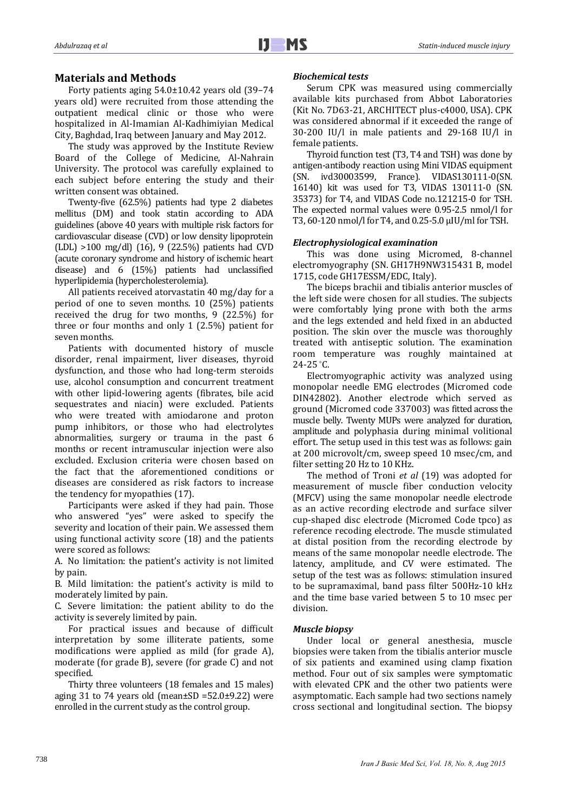# **Materials and Methods**

Forty patients aging  $54.0\pm10.42$  years old  $(39-74)$ years old) were recruited from those attending the outpatient medical clinic or those who were hospitalized in Al-Imamian Al-Kadhimiyian Medical City, Baghdad, Iraq between January and May 2012.

The study was approved by the Institute Review Board of the College of Medicine, Al-Nahrain University. The protocol was carefully explained to each subject before entering the study and their written consent was obtained.

Twenty-five (62.5%) patients had type 2 diabetes mellitus (DM) and took statin according to ADA guidelines (above 40 years with multiple risk factors for cardiovascular disease (CVD) or low density lipoprotein (LDL)  $>100$  mg/dl) (16), 9 (22.5%) patients had CVD (acute coronary syndrome and history of ischemic heart disease) and 6 (15%) patients had unclassified hyperlipidemia (hypercholesterolemia).

All patients received atorvastatin 40 mg/day for a period of one to seven months.  $10$   $(25%)$  patients received the drug for two months,  $9$  (22.5%) for three or four months and only  $1$  (2.5%) patient for seven months.

Patients with documented history of muscle disorder, renal impairment, liver diseases, thyroid dysfunction, and those who had long-term steroids use, alcohol consumption and concurrent treatment with other lipid-lowering agents (fibrates, bile acid sequestrates and niacin) were excluded. Patients who were treated with amiodarone and proton pump inhibitors, or those who had electrolytes abnormalities, surgery or trauma in the past 6 months or recent intramuscular injection were also excluded. Exclusion criteria were chosen based on the fact that the aforementioned conditions or diseases are considered as risk factors to increase the tendency for myopathies  $(17)$ .

Participants were asked if they had pain. Those who answered "yes" were asked to specify the severity and location of their pain. We assessed them using functional activity score  $(18)$  and the patients were scored as follows:

A. No limitation: the patient's activity is not limited by pain.

B. Mild limitation: the patient's activity is mild to moderately limited by pain.

C. Severe limitation: the patient ability to do the activity is severely limited by pain.

For practical issues and because of difficult interpretation by some illiterate patients, some modifications were applied as mild (for grade A), moderate (for grade B), severe (for grade C) and not specified. 

Thirty three volunteers (18 females and 15 males) aging  $31$  to  $74$  years old (mean $\pm$ SD =52.0 $\pm$ 9.22) were enrolled in the current study as the control group.

#### *Biochemical tests*

Serum CPK was measured using commercially available kits purchased from Abbot Laboratories (Kit No. 7D63-21, ARCHITECT plus-c4000, USA). CPK was considered abnormal if it exceeded the range of  $30-200$  IU/l in male patients and  $29-168$  IU/l in female patients.

Thyroid function test (T3, T4 and TSH) was done by antigen-antibody reaction using Mini VIDAS equipment (SN. ivd30003599, France). VIDAS130111‐0(SN. 16140) kit was used for T3, VIDAS 130111-0 (SN. 35373) for T4, and VIDAS Code no.121215-0 for TSH. The expected normal values were 0.95-2.5 nmol/l for T3, 60-120 nmol/l for T4, and 0.25-5.0 µIU/ml for TSH.

### *Electrophysiological examination*

This was done using Micromed, 8-channel electromyography (SN. GH17H9NW315431 B, model 1715, code GH17ESSM/EDC, Italy).

The biceps brachii and tibialis anterior muscles of the left side were chosen for all studies. The subjects were comfortably lying prone with both the arms and the legs extended and held fixed in an abducted position. The skin over the muscle was thoroughly treated with antiseptic solution. The examination room temperature was roughly maintained at 24‐25 ° C. 

Electromyographic activity was analyzed using monopolar needle EMG electrodes (Micromed code DIN42802). Another electrode which served as ground (Micromed code 337003) was fitted across the muscle belly. Twenty MUPs were analyzed for duration, amplitude and polyphasia during minimal volitional effort. The setup used in this test was as follows: gain at 200 microvolt/cm, sweep speed 10 msec/cm, and filter setting 20 Hz to 10 KHz.

The method of Troni *et al* (19) was adopted for measurement of muscle fiber conduction velocity (MFCV) using the same monopolar needle electrode as an active recording electrode and surface silver cup-shaped disc electrode (Micromed Code tpco) as reference recoding electrode. The muscle stimulated at distal position from the recording electrode by means of the same monopolar needle electrode. The latency, amplitude, and CV were estimated. The setup of the test was as follows: stimulation insured to be supramaximal, band pass filter 500Hz-10 kHz and the time base varied between 5 to 10 msec per division. 

### *Muscle biopsy*

Under local or general anesthesia, muscle biopsies were taken from the tibialis anterior muscle of six patients and examined using clamp fixation method. Four out of six samples were symptomatic with elevated CPK and the other two patients were asymptomatic. Each sample had two sections namely cross sectional and longitudinal section. The biopsy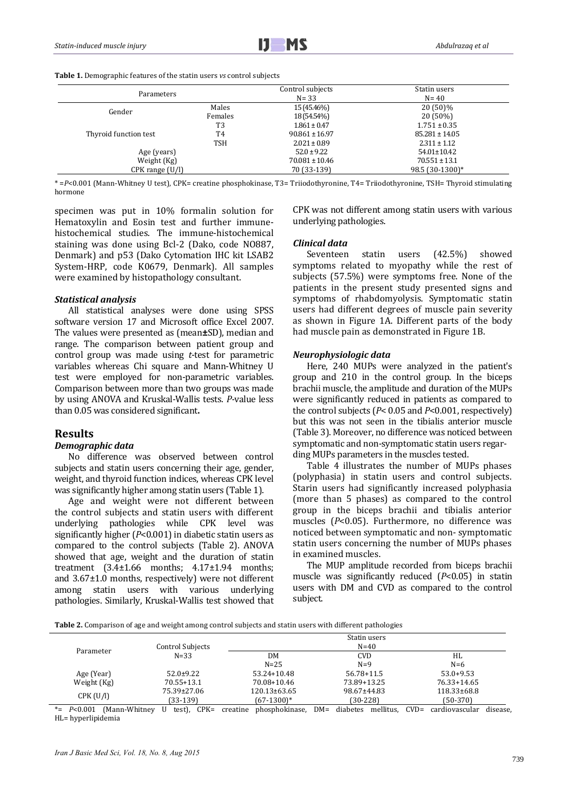Table 1. Demographic features of the statin users *vs* control subjects

| Parameters            |                | Control subjects<br>$N = 33$ | Statin users<br>$N = 40$ |
|-----------------------|----------------|------------------------------|--------------------------|
| Gender                | Males          | 15 (45.46%)                  | 20 (50)%                 |
|                       | Females        | 18 (54.54%)                  | $20(50\%)$               |
|                       | T3             | $1.861 \pm 0.47$             | $1.751 \pm 0.35$         |
| Thyroid function test | T <sub>4</sub> | $90.861 \pm 16.97$           | $85.281 \pm 14.05$       |
|                       | <b>TSH</b>     | $2.021 \pm 0.89$             | $2.311 \pm 1.12$         |
| Age (years)           |                |                              | 54.01±10.42              |
| Weight (Kg)           |                | $70.081 \pm 10.46$           | $70.551 \pm 13.1$        |
| $CPK$ range $(U/I)$   |                | 70 (33-139)                  | 98.5 (30-1300)*          |

\* =P<0.001 (Mann-Whitney U test), CPK= creatine phosphokinase, T3= Triiodothyronine, T4= Triiodothyronine, TSH= Thyroid stimulating hormone

specimen was put in 10% formalin solution for Hematoxylin and Eosin test and further immunehistochemical studies. The immune-histochemical staining was done using Bcl-2 (Dako, code NO887, Denmark) and p53 (Dako Cytomation IHC kit LSAB2 System-HRP, code K0679, Denmark). All samples were examined by histopathology consultant.

#### *Statistical analysis*

All statistical analyses were done using SPSS software version 17 and Microsoft office Excel 2007. The values were presented as (mean**±**SD), median and range. The comparison between patient group and control group was made using *t*-test for parametric variables whereas Chi square and Mann-Whitney U test were employed for non-parametric variables. Comparison between more than two groups was made by using ANOVA and Kruskal-Wallis tests. *P*-value less than 0.05 was considered significant**.**

### **Results**

#### *Demographic data*

No difference was observed between control subjects and statin users concerning their age, gender, weight, and thyroid function indices, whereas CPK level was significantly higher among statin users (Table 1).

Age and weight were not different between the control subjects and statin users with different underlying pathologies while CPK level was significantly higher  $(P<0.001)$  in diabetic statin users as compared to the control subjects (Table 2). ANOVA showed that age, weight and the duration of statin treatment  $(3.4\pm1.66$  months:  $4.17\pm1.94$  months: and  $3.67\pm1.0$  months, respectively) were not different among statin users with various underlying pathologies. Similarly, Kruskal-Wallis test showed that CPK was not different among statin users with various underlying pathologies.

#### *Clinical data*

Seventeen statin users (42.5%) showed symptoms related to myopathy while the rest of subjects  $(57.5%)$  were symptoms free. None of the patients in the present study presented signs and symptoms of rhabdomyolysis. Symptomatic statin users had different degrees of muscle pain severity as shown in Figure 1A. Different parts of the body had muscle pain as demonstrated in Figure 1B.

#### *Neurophysiologic data*

Here, 240 MUPs were analyzed in the patient's group and 210 in the control group. In the biceps brachii muscle, the amplitude and duration of the MUPs were significantly reduced in patients as compared to the control subjects  $(P < 0.05$  and  $P < 0.001$ , respectively) but this was not seen in the tibialis anterior muscle (Table 3). Moreover, no difference was noticed between symptomatic and non-symptomatic statin users regarding MUPs parameters in the muscles tested.

Table 4 illustrates the number of MUPs phases (polyphasia) in statin users and control subjects. Starin users had significantly increased polyphasia (more than 5 phases) as compared to the control group in the biceps brachii and tibialis anterior muscles (P<0.05). Furthermore, no difference was noticed between symptomatic and non- symptomatic statin users concerning the number of MUPs phases in examined muscles.

The MUP amplitude recorded from biceps brachii muscle was significantly reduced (*P*<0.05) in statin users with DM and CVD as compared to the control subject. 

**Table 2.** Comparison of age and weight among control subjects and statin users with different pathologies

|             | Control Subjects |              |             |                  |
|-------------|------------------|--------------|-------------|------------------|
| Parameter   | $N = 33$         | DM           | <b>CVD</b>  | HL               |
|             |                  | $N = 25$     | $N=9$       | $N=6$            |
| Age (Year)  | $52.0+9.22$      | 53.24+10.48  | 56.78+11.5  | $53.0+9.53$      |
| Weight (Kg) | 70.55+13.1       | 70.08+10.46  | 73.89+13.25 | 76.33+14.65      |
|             | 75.39±27.06      | 120.13±63.65 | 98.67±44.83 | $118.33\pm 68.8$ |
| CPK(U/I)    | (33-139)         | (67-1300)*   | $(30-228)$  | $(50-370)$       |

\*=  $P<0.001$  (Mann-Whitney U test), CPK= creatine phosphokinase, DM= diabetes mellitus, CVD= cardiovascular disease, HL= hyperlipidemia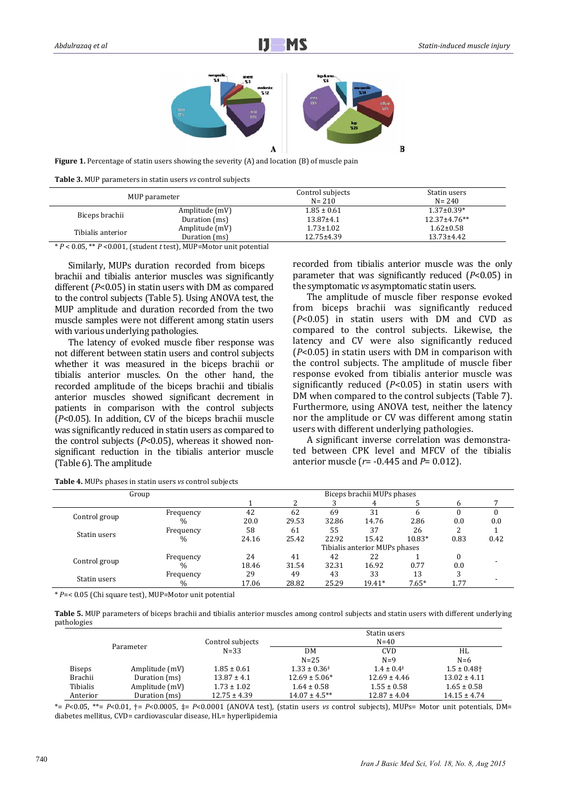

**Figure 1.** Percentage of statin users showing the severity (A) and location (B) of muscle pain

**Table 3.** MUP parameters in statin users *vs* control subjects

| MUP parameter     |                | Control subjects<br>$N = 210$ | Statin users<br>$N = 240$ |
|-------------------|----------------|-------------------------------|---------------------------|
| Biceps brachii    | Amplitude (mV) | $1.85 \pm 0.61$               | $1.37 \pm 0.39*$          |
|                   | Duration (ms)  | $13.87 \pm 4.1$               | $12.37 \pm 4.76$ **       |
| Tibialis anterior | Amplitude (mV) | $1.73 \pm 1.02$               | $1.62 \pm 0.58$           |
|                   | Duration (ms)  | $12.75 \pm 4.39$              | $13.73 \pm 4.42$          |

\* *P* < 0.05, \*\* *P* <0.001, (student *t* test), MUP=Motor unit potential 

Similarly, MUPs duration recorded from biceps brachii and tibialis anterior muscles was significantly different  $(P<0.05)$  in statin users with DM as compared to the control subjects (Table 5). Using ANOVA test, the MUP amplitude and duration recorded from the two muscle samples were not different among statin users with various underlying pathologies.

The latency of evoked muscle fiber response was not different between statin users and control subjects whether it was measured in the biceps brachii or tibialis anterior muscles. On the other hand, the recorded amplitude of the biceps brachii and tibialis anterior muscles showed significant decrement in patients in comparison with the control subjects  $(P<0.05)$ . In addition, CV of the biceps brachii muscle was significantly reduced in statin users as compared to the control subjects  $(P<0.05)$ , whereas it showed nonsignificant reduction in the tibialis anterior muscle (Table 6). The amplitude

recorded from tibialis anterior muscle was the only parameter that was significantly reduced  $(P<0.05)$  in the symptomatic *vs* asymptomatic statin users.

The amplitude of muscle fiber response evoked from biceps brachii was significantly reduced  $(P<0.05)$  in statin users with DM and CVD as compared to the control subjects. Likewise, the latency and CV were also significantly reduced  $(P<0.05)$  in statin users with DM in comparison with the control subjects. The amplitude of muscle fiber response evoked from tibialis anterior muscle was significantly reduced  $(P<0.05)$  in statin users with DM when compared to the control subjects (Table 7). Furthermore, using ANOVA test, neither the latency nor the amplitude or CV was different among statin users with different underlying pathologies.

A significant inverse correlation was demonstrated between CPK level and MFCV of the tibialis anterior muscle  $(r = -0.445$  and  $P = 0.012$ ).

| Group         |               | Biceps brachii MUPs phases    |       |       |        |         |      |      |
|---------------|---------------|-------------------------------|-------|-------|--------|---------|------|------|
|               |               |                               | ∠     |       |        |         |      |      |
|               | Frequency     | 42                            | 62    | 69    | 31     |         |      |      |
| Control group | $\frac{0}{0}$ | 20.0                          | 29.53 | 32.86 | 14.76  | 2.86    | 0.0  | 0.0  |
| Statin users  | Frequency     | 58                            | 61    | 55    | 37     | 26      |      |      |
|               | $\%$          | 24.16                         | 25.42 | 22.92 | 15.42  | 10.83*  | 0.83 | 0.42 |
|               |               | Tibialis anterior MUPs phases |       |       |        |         |      |      |
| Control group | Frequency     | 24                            | 41    | 42    | 22     |         |      |      |
|               | $\frac{0}{0}$ | 18.46                         | 31.54 | 32.31 | 16.92  | 0.77    | 0.0  |      |
| Statin users  | Frequency     | 29                            | 49    | 43    | 33     | 13      |      |      |
|               | $\%$          | 17.06                         | 28.82 | 25.29 | 19.41* | $7.65*$ | 1.77 |      |

**Table 4.** MUPs phases in statin users *vs* control subjects

\* *P*=< 0.05 (Chi square test), MUP=Motor unit potential 

**Table 5.** MUP parameters of biceps brachii and tibialis anterior muscles among control subjects and statin users with different underlying pathologies 

| Parameter     |                | Control subjects | Statin users<br>$N = 40$ |                          |                             |  |
|---------------|----------------|------------------|--------------------------|--------------------------|-----------------------------|--|
|               |                | $N = 33$         | DM                       | <b>CVD</b>               | HL                          |  |
|               |                |                  | $N = 25$                 | $N=9$                    | $N=6$                       |  |
| <b>Biseps</b> | Amplitude (mV) | $1.85 \pm 0.61$  | $1.33 \pm 0.36^*$        | $1.4 \pm 0.4^{\ddagger}$ | $1.5 \pm 0.48$ <sup>+</sup> |  |
| Brachii       | Duration (ms)  | $13.87 \pm 4.1$  | $12.69 \pm 5.06*$        | $12.69 \pm 4.46$         | $13.02 \pm 4.11$            |  |
| Tibialis      | Amplitude (mV) | $1.73 \pm 1.02$  | $1.64 \pm 0.58$          | $1.55 \pm 0.58$          | $1.65 \pm 0.58$             |  |
| Anterior      | Duration (ms)  | $12.75 \pm 4.39$ | $14.07 \pm 4.5***$       | $12.87 \pm 4.04$         | $14.15 \pm 4.74$            |  |

\*=  $P<0.05$ , \*\*=  $P<0.01$ ,  $\pm P<0.0005$ ,  $\pm P<0.0001$  (ANOVA test), (statin users *vs* control subjects), MUPs= Motor unit potentials, DM= diabetes mellitus, CVD= cardiovascular disease, HL= hyperlipidemia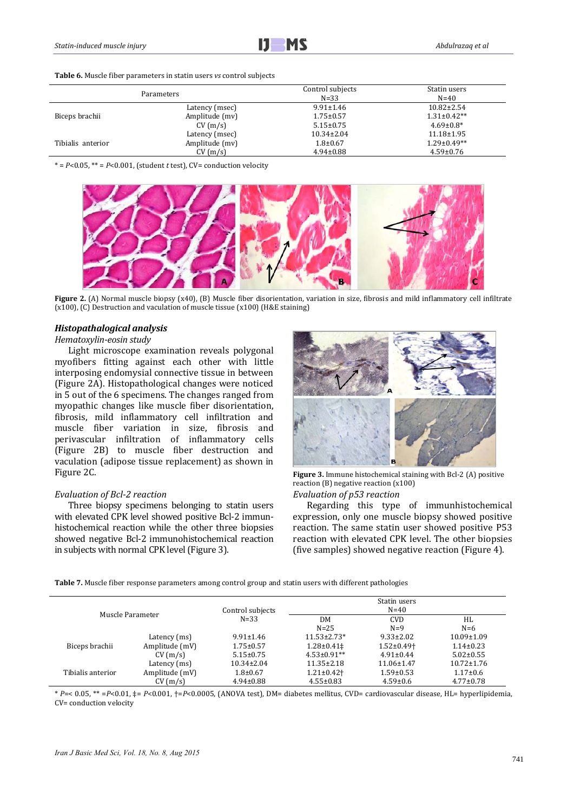#### Table 6. Muscle fiber parameters in statin users *vs* control subjects

|                   | Parameters     | Control subjects<br>$N = 33$ | Statin users<br>$N = 40$ |
|-------------------|----------------|------------------------------|--------------------------|
|                   | Latency (msec) | $9.91 \pm 1.46$              | $10.82 \pm 2.54$         |
| Biceps brachii    | Amplitude (mv) | $1.75 \pm 0.57$              | $1.31 \pm 0.42**$        |
|                   | CV(m/s)        | $5.15 \pm 0.75$              | $4.69 \pm 0.8^*$         |
|                   | Latency (msec) | $10.34 \pm 2.04$             | $11.18 \pm 1.95$         |
| Tibialis anterior | Amplitude (mv) | $1.8 \pm 0.67$               | $1.29 \pm 0.49**$        |
|                   | CV(m/s)        | $4.94 \pm 0.88$              | $4.59 \pm 0.76$          |

 $* = P < 0.05$ ,  $** = P < 0.001$ , (student *t* test), CV= conduction velocity



**Figure 2.** (A) Normal muscle biopsy (x40), (B) Muscle fiber disorientation, variation in size, fibrosis and mild inflammatory cell infiltrate (x100), (C) Destruction and vaculation of muscle tissue  $(x100)$  (H&E staining)

#### *Histopathalogical analysis*

#### *Hematoxylin‐eosin study*

Light microscope examination reveals polygonal myofibers fitting against each other with little interposing endomysial connective tissue in between (Figure 2A). Histopathological changes were noticed in 5 out of the 6 specimens. The changes ranged from myopathic changes like muscle fiber disorientation, fibrosis, mild inflammatory cell infiltration and muscle fiber variation in size, fibrosis and perivascular infiltration of inflammatory cells (Figure 2B) to muscle fiber destruction and vaculation (adipose tissue replacement) as shown in Figure 2C. **Figure** 2. Immune histochemical staining with Bcl-2 (A) positive

#### *Evaluation of Bcl‐2 reaction*

Three biopsy specimens belonging to statin users with elevated CPK level showed positive Bcl-2 immunhistochemical reaction while the other three biopsies showed negative Bcl-2 immunohistochemical reaction in subjects with normal CPK level (Figure 3).



reaction  $(B)$  negative reaction  $(x100)$ *Evaluation of p53 reaction*

Regarding this type of immunhistochemical expression, only one muscle biopsy showed positive reaction. The same statin user showed positive P53 reaction with elevated CPK level. The other biopsies (five samples) showed negative reaction (Figure 4).

**Table 7.** Muscle fiber response parameters among control group and statin users with different pathologies

| Muscle Parameter  |                | Control subjects | Statin users<br>$N=40$                       |                              |                  |
|-------------------|----------------|------------------|----------------------------------------------|------------------------------|------------------|
|                   |                | $N = 33$         | <b>CVD</b><br><b>DM</b><br>$N = 25$<br>$N=9$ |                              | HL<br>$N=6$      |
|                   | Latency (ms)   | $9.91 \pm 1.46$  | $11.53 \pm 2.73*$                            | $9.33 \pm 2.02$              | $10.09 \pm 1.09$ |
| Biceps brachii    | Amplitude (mV) | $1.75 \pm 0.57$  | $1.28 \pm 0.41 \pm$                          | $1.52 \pm 0.49$ <sup>+</sup> | $1.14 \pm 0.23$  |
|                   | CV(m/s)        | $5.15 \pm 0.75$  | $4.53 \pm 0.91**$                            | $4.91 \pm 0.44$              | $5.02 \pm 0.55$  |
|                   | Latency (ms)   | $10.34 \pm 2.04$ | $11.35 \pm 2.18$                             | $11.06 \pm 1.47$             | $10.72 \pm 1.76$ |
| Tibialis anterior | Amplitude (mV) | $1.8 \pm 0.67$   | $1.21 \pm 0.42$                              | $1.59 \pm 0.53$              | $1.17 \pm 0.6$   |
|                   | CV(m/s)        | $4.94 \pm 0.88$  | $4.55 \pm 0.83$                              | $4.59 \pm 0.6$               | $4.77 \pm 0.78$  |

\* *P*=< 0.05, \*\* =*P*<0.01, ‡= *P*<0.001, †=*P*<0.0005, (ANOVA test), DM= diabetes mellitus, CVD= cardiovascular disease, HL= hyperlipidemia, CV= conduction velocity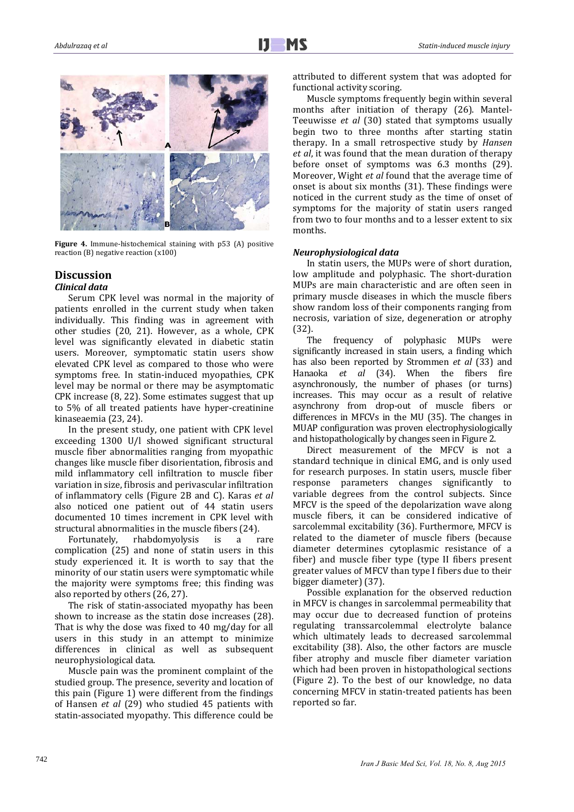

**Figure 4.** Immune-histochemical staining with p53 (A) positive reaction  $(B)$  negative reaction  $(x100)$ 

#### **Discussion** *Clinical data*

Serum CPK level was normal in the majority of patients enrolled in the current study when taken individually. This finding was in agreement with other studies (20, 21). However, as a whole, CPK level was significantly elevated in diabetic statin users. Moreover, symptomatic statin users show elevated CPK level as compared to those who were symptoms free. In statin-induced myopathies, CPK level may be normal or there may be asymptomatic CPK increase  $(8, 22)$ . Some estimates suggest that up to 5% of all treated patients have hyper-creatinine kinaseaemia (23, 24).

In the present study, one patient with CPK level exceeding 1300 U/l showed significant structural muscle fiber abnormalities ranging from myopathic changes like muscle fiber disorientation, fibrosis and mild inflammatory cell infiltration to muscle fiber variation in size, fibrosis and perivascular infiltration of inflammatory cells (Figure 2B and C). Karas *et al* also noticed one patient out of 44 statin users documented 10 times increment in CPK level with structural abnormalities in the muscle fibers (24).

Fortunately, rhabdomyolysis is a rare complication  $(25)$  and none of statin users in this study experienced it. It is worth to say that the minority of our statin users were symptomatic while the majority were symptoms free; this finding was also reported by others (26, 27).

The risk of statin-associated myopathy has been shown to increase as the statin dose increases (28). That is why the dose was fixed to 40 mg/day for all users in this study in an attempt to minimize differences in clinical as well as subsequent neurophysiological data. 

Muscle pain was the prominent complaint of the studied group. The presence, severity and location of this pain (Figure 1) were different from the findings of Hansen *et al* (29) who studied 45 patients with statin-associated myopathy. This difference could be

attributed to different system that was adopted for functional activity scoring.

Muscle symptoms frequently begin within several months after initiation of therapy (26). Mantel-Teeuwisse et al (30) stated that symptoms usually begin two to three months after starting statin therapy. In a small retrospective study by *Hansen et al*, it was found that the mean duration of therapy before onset of symptoms was  $6.3$  months  $(29)$ . Moreover, Wight *et al* found that the average time of onset is about six months  $(31)$ . These findings were noticed in the current study as the time of onset of symptoms for the majority of statin users ranged from two to four months and to a lesser extent to six months. 

# *Neurophysiological data*

In statin users, the MUPs were of short duration, low amplitude and polyphasic. The short-duration MUPs are main characteristic and are often seen in primary muscle diseases in which the muscle fibers show random loss of their components ranging from necrosis, variation of size, degeneration or atrophy (32). 

The frequency of polyphasic MUPs were significantly increased in stain users, a finding which has also been reported by Strommen *et al* (33) and Hanaoka *et al* (34). When the fibers fire asynchronously, the number of phases (or turns) increases. This may occur as a result of relative asynchrony from drop-out of muscle fibers or differences in MFCVs in the MU  $(35)$ . The changes in MUAP configuration was proven electrophysiologically and histopathologically by changes seen in Figure 2.

Direct measurement of the MFCV is not a standard technique in clinical EMG, and is only used for research purposes. In statin users, muscle fiber response parameters changes significantly to variable degrees from the control subjects. Since MFCV is the speed of the depolarization wave along muscle fibers, it can be considered indicative of sarcolemmal excitability (36). Furthermore, MFCV is related to the diameter of muscle fibers (because diameter determines cytoplasmic resistance of a fiber) and muscle fiber type (type II fibers present greater values of MFCV than type I fibers due to their bigger diameter) (37).

Possible explanation for the observed reduction in MFCV is changes in sarcolemmal permeability that may occur due to decreased function of proteins regulating transsarcolemmal electrolyte balance which ultimately leads to decreased sarcolemmal excitability (38). Also, the other factors are muscle fiber atrophy and muscle fiber diameter variation which had been proven in histopathological sections (Figure 2). To the best of our knowledge, no data concerning MFCV in statin-treated patients has been reported so far.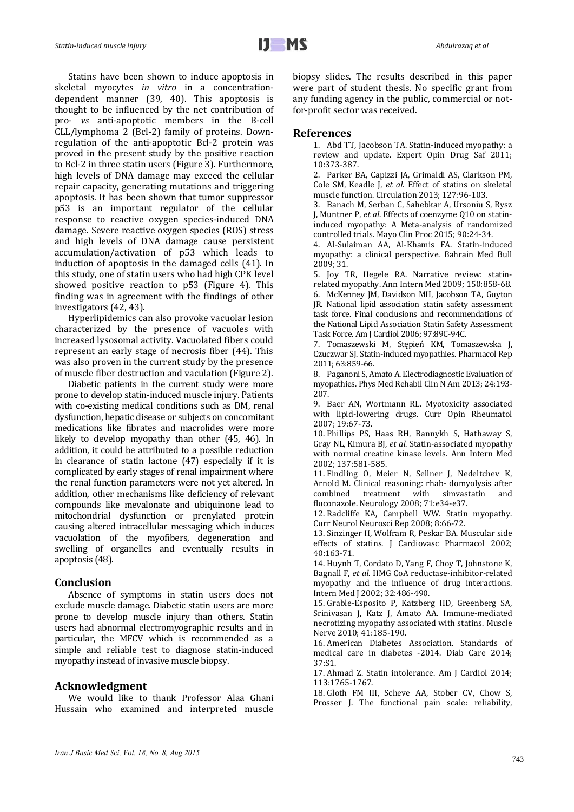Statins have been shown to induce apoptosis in skeletal myocytes *in vitro* in a concentrationdependent manner  $(39, 40)$ . This apoptosis is thought to be influenced by the net contribution of pro- *vs* anti-apoptotic members in the B-cell CLL/lymphoma 2 (Bcl-2) family of proteins. Downregulation of the anti-apoptotic Bcl-2 protein was proved in the present study by the positive reaction to Bcl-2 in three statin users (Figure 3). Furthermore, high levels of DNA damage may exceed the cellular repair capacity, generating mutations and triggering apoptosis. It has been shown that tumor suppressor p53 is an important regulator of the cellular response to reactive oxygen species-induced DNA damage. Severe reactive oxygen species (ROS) stress and high levels of DNA damage cause persistent accumulation/activation of p53 which leads to induction of apoptosis in the damaged cells  $(41)$ . In this study, one of statin users who had high CPK level showed positive reaction to  $p53$  (Figure 4). This finding was in agreement with the findings of other investigators (42, 43).

Hyperlipidemics can also provoke vacuolar lesion characterized by the presence of vacuoles with increased lysosomal activity. Vacuolated fibers could represent an early stage of necrosis fiber  $(44)$ . This was also proven in the current study by the presence of muscle fiber destruction and vaculation (Figure 2).

Diabetic patients in the current study were more prone to develop statin-induced muscle injury. Patients with co-existing medical conditions such as DM, renal dysfunction, hepatic disease or subjects on concomitant medications like fibrates and macrolides were more likely to develop myopathy than other (45, 46). In addition, it could be attributed to a possible reduction in clearance of statin lactone  $(47)$  especially if it is complicated by early stages of renal impairment where the renal function parameters were not yet altered. In addition, other mechanisms like deficiency of relevant compounds like mevalonate and ubiquinone lead to mitochondrial dysfunction or prenylated protein causing altered intracellular messaging which induces vacuolation of the myofibers, degeneration and swelling of organelles and eventually results in apoptosis (48).

# **Conclusion**

Absence of symptoms in statin users does not exclude muscle damage. Diabetic statin users are more prone to develop muscle injury than others. Statin users had abnormal electromyographic results and in particular, the MFCV which is recommended as a simple and reliable test to diagnose statin-induced myopathy instead of invasive muscle biopsy.

# **Acknowledgment**

We would like to thank Professor Alaa Ghani Hussain who examined and interpreted muscle biopsy slides. The results described in this paper were part of student thesis. No specific grant from any funding agency in the public, commercial or notfor-profit sector was received.

# **References**

1. Abd TT, Jacobson TA, Statin-induced myopathy: a review and update. Expert Opin Drug Saf 2011; 10:373‐387. 

2. Parker BA, Capizzi JA, Grimaldi AS, Clarkson PM, Cole SM, Keadle J, et al. Effect of statins on skeletal muscle function. Circulation 2013; 127:96-103.

3. Banach M, Serban C, Sahebkar A, Ursoniu S, Rysz J, Muntner P, et al. Effects of coenzyme 010 on statininduced myopathy: A Meta-analysis of randomized controlled trials. Mayo Clin Proc 2015; 90:24-34.

4. Al‐Sulaiman AA, Al‐Khamis FA. Statin‐induced myopathy: a clinical perspective. Bahrain Med Bull 2009; 31. 

5. Joy TR, Hegele RA. Narrative review: statinrelated myopathy. Ann Intern Med 2009: 150:858-68. 6. McKenney JM, Davidson MH, Jacobson TA, Guyton JR. National lipid association statin safety assessment task force. Final conclusions and recommendations of the National Lipid Association Statin Safety Assessment Task Force. Am J Cardiol 2006; 97:89C-94C.

7. Tomaszewski M, Stepień KM, Tomaszewska J, Czuczwar SJ. Statin‐induced myopathies. Pharmacol Rep 2011; 63:859‐66. 

8. Paganoni S, Amato A. Electrodiagnostic Evaluation of myopathies. Phys Med Rehabil Clin N Am 2013; 24:193-207. 

9. Baer AN, Wortmann RL. Myotoxicity associated with lipid-lowering drugs. Curr Opin Rheumatol 2007; 19:67‐73. 

10. Phillips PS, Haas RH, Bannykh S, Hathaway S, Gray NL, Kimura BJ, et al. Statin-associated myopathy with normal creatine kinase levels. Ann Intern Med 2002; 137:581‐585. 

11. Findling O, Meier N, Sellner J, Nedeltchev K, Arnold M. Clinical reasoning: rhab- domyolysis after combined treatment with simvastatin and fluconazole. Neurology 2008; 71:e34-e37.

12. Radcliffe KA, Campbell WW. Statin myopathy. Curr Neurol Neurosci Rep 2008; 8:66-72.

13. Sinzinger H, Wolfram R, Peskar BA. Muscular side effects of statins. J Cardiovasc Pharmacol 2002; 40:163‐71. 

14. Huynh T, Cordato D, Yang F, Choy T, Johnstone K, Bagnall F, et al. HMG CoA reductase-inhibitor-related myopathy and the influence of drug interactions. Intern Med I 2002: 32:486-490.

15. Grable-Esposito P, Katzberg HD, Greenberg SA, Srinivasan J, Katz J, Amato AA. Immune-mediated necrotizing myopathy associated with statins. Muscle Nerve 2010; 41:185-190.

16. American Diabetes Association. Standards of medical care in diabetes -2014. Diab Care 2014: 37:S1. 

17. Ahmad Z. Statin intolerance. Am J Cardiol 2014; 113:1765‐1767. 

18. Gloth FM III, Scheve AA, Stober CV, Chow S, Prosser J. The functional pain scale: reliability,